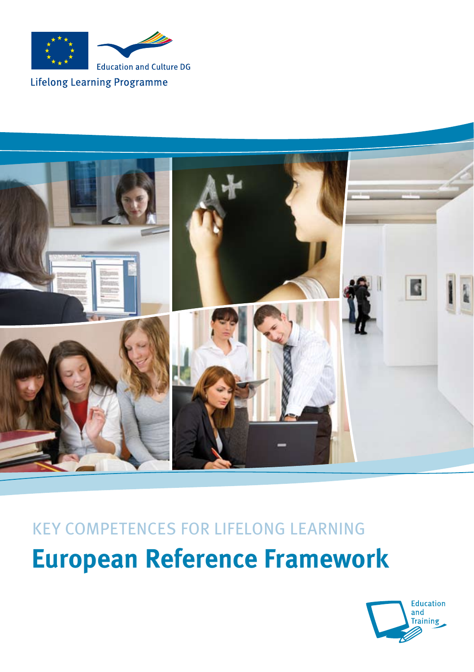



KEY COMPETENCES FOR LIFELONG LEARNING **European Reference Framework**

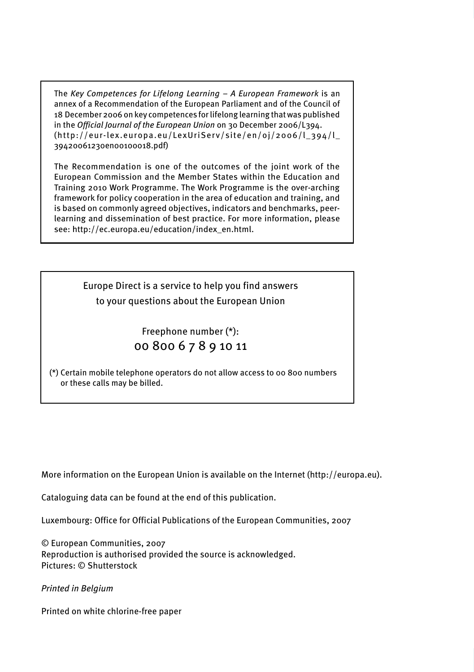The *Key Competences for Lifelong Learning – A European Framework* is an annex of a Recommendation of the European Parliament and of the Council of 18 December 2006 on key competences for lifelong learning that was published in the *Official Journal of the European Union* on 30 December 2006/L394. (http://eur-lex.europa.eu/LexUriServ/site/en/oj/2006/l\_394/l\_ 39420061230en00100018.pdf)

The Recommendation is one of the outcomes of the joint work of the European Commission and the Member States within the Education and Training 2010 Work Programme. The Work Programme is the over-arching framework for policy cooperation in the area of education and training, and is based on commonly agreed objectives, indicators and benchmarks, peerlearning and dissemination of best practice. For more information, please see: http://ec.europa.eu/education/index\_en.html.

Europe Direct is a service to help you find answers to your questions about the European Union

### Freephone number (\*): 00 800 6 7 8 9 10 11

(\*) Certain mobile telephone operators do not allow access to 00 800 numbers or these calls may be billed.

More information on the European Union is available on the Internet (http://europa.eu).

Cataloguing data can be found at the end of this publication.

Luxembourg: Office for Official Publications of the European Communities, 2007

© European Communities, 2007 Reproduction is authorised provided the source is acknowledged. Pictures: © Shutterstock

*Printed in Belgium*

Printed on white chlorine-free paper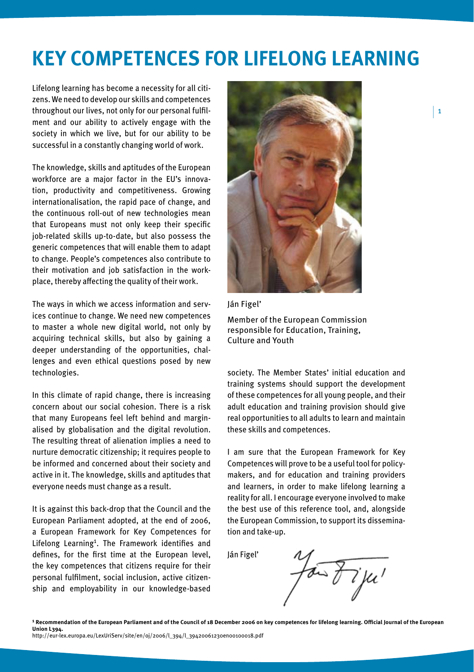# **KEY COMPETENCES FOR LIFELONG LEARNING**

Lifelong learning has become a necessity for all citizens. We need to develop our skills and competences throughout our lives, not only for our personal fulfilment and our ability to actively engage with the society in which we live, but for our ability to be successful in a constantly changing world of work.

The knowledge, skills and aptitudes of the European workforce are a major factor in the EU's innovation, productivity and competitiveness. Growing internationalisation, the rapid pace of change, and the continuous roll-out of new technologies mean that Europeans must not only keep their specific job-related skills up-to-date, but also possess the generic competences that will enable them to adapt to change. People's competences also contribute to their motivation and job satisfaction in the workplace, thereby affecting the quality of their work.

The ways in which we access information and services continue to change. We need new competences to master a whole new digital world, not only by acquiring technical skills, but also by gaining a deeper understanding of the opportunities, challenges and even ethical questions posed by new technologies.

In this climate of rapid change, there is increasing concern about our social cohesion. There is a risk that many Europeans feel left behind and marginalised by globalisation and the digital revolution. The resulting threat of alienation implies a need to nurture democratic citizenship; it requires people to be informed and concerned about their society and active in it. The knowledge, skills and aptitudes that everyone needs must change as a result.

It is against this back-drop that the Council and the European Parliament adopted, at the end of 2006, a European Framework for Key Competences for Lifelong Learning<sup>1</sup>. The Framework identifies and defines, for the first time at the European level, the key competences that citizens require for their personal fulfilment, social inclusion, active citizenship and employability in our knowledge-based



 $\mathbf 1$ 

#### Ján Figel'

Member of the European Commission responsible for Education, Training, Culture and Youth

society. The Member States' initial education and training systems should support the development of these competences for all young people, and their adult education and training provision should give real opportunities to all adults to learn and maintain these skills and competences.

I am sure that the European Framework for Key Competences will prove to be a useful tool for policymakers, and for education and training providers and learners, in order to make lifelong learning a reality for all. I encourage everyone involved to make the best use of this reference tool, and, alongside the European Commission, to support its dissemination and take-up.

Ján Figel'

tom Fiju!

**1 Recommendation of the European Parliament and of the Council of 18 December 2006 on key competences for lifelong learning. Official Journal of the European Union L394.**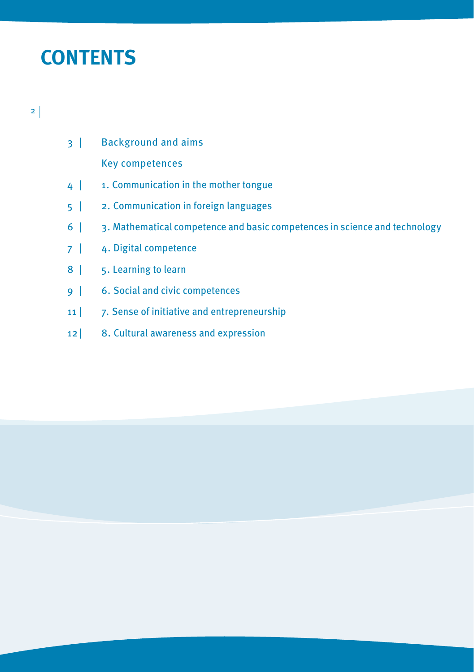# **CONTENTS**

## $2$

| 3 I            | <b>Background and aims</b>                                                 |
|----------------|----------------------------------------------------------------------------|
|                | <b>Key competences</b>                                                     |
| 4              | 1. Communication in the mother tongue                                      |
| 5              | 2. Communication in foreign languages                                      |
| 6 <sup>1</sup> | 3. Mathematical competence and basic competences in science and technology |
| 7 I            | 4. Digital competence                                                      |
| 8 <sup>1</sup> | 5. Learning to learn                                                       |
| 9 I            | 6. Social and civic competences                                            |
| $11 \mid$      | 7. Sense of initiative and entrepreneurship                                |
|                |                                                                            |

12| 8. Cultural awareness and expression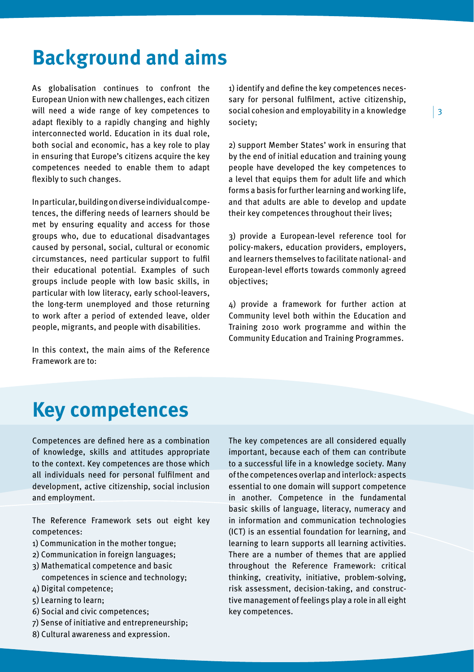## **Background and aims**

As globalisation continues to confront the European Union with new challenges, each citizen will need a wide range of key competences to adapt flexibly to a rapidly changing and highly interconnected world. Education in its dual role, both social and economic, has a key role to play in ensuring that Europe's citizens acquire the key competences needed to enable them to adapt flexibly to such changes.

In particular, building on diverse individual competences, the differing needs of learners should be met by ensuring equality and access for those groups who, due to educational disadvantages caused by personal, social, cultural or economic circumstances, need particular support to fulfil their educational potential. Examples of such groups include people with low basic skills, in particular with low literacy, early school-leavers, the long-term unemployed and those returning to work after a period of extended leave, older people, migrants, and people with disabilities.

In this context, the main aims of the Reference Framework are to:

1) identify and define the key competences necessary for personal fulfilment, active citizenship, social cohesion and employability in a knowledge society;

2) support Member States' work in ensuring that by the end of initial education and training young people have developed the key competences to a level that equips them for adult life and which forms a basis for further learning and working life, and that adults are able to develop and update their key competences throughout their lives;

3) provide a European-level reference tool for policy-makers, education providers, employers, and learners themselves to facilitate national- and European-level efforts towards commonly agreed objectives;

4) provide a framework for further action at Community level both within the Education and Training 2010 work programme and within the Community Education and Training Programmes.

## **Key competences**

Competences are defined here as a combination of knowledge, skills and attitudes appropriate to the context. Key competences are those which all individuals need for personal fulfilment and development, active citizenship, social inclusion and employment.

The Reference Framework sets out eight key competences:

- 1) Communication in the mother tongue;
- 2) Communication in foreign languages;
- 3) Mathematical competence and basic competences in science and technology;
- 4) Digital competence;
- 5) Learning to learn;
- 6) Social and civic competences;
- 7) Sense of initiative and entrepreneurship;
- 8) Cultural awareness and expression.

The key competences are all considered equally important, because each of them can contribute to a successful life in a knowledge society. Many of the competences overlap and interlock: aspects essential to one domain will support competence in another. Competence in the fundamental basic skills of language, literacy, numeracy and in information and communication technologies (ICT) is an essential foundation for learning, and learning to learn supports all learning activities. There are a number of themes that are applied throughout the Reference Framework: critical thinking, creativity, initiative, problem-solving, risk assessment, decision-taking, and constructive management of feelings play a role in all eight key competences.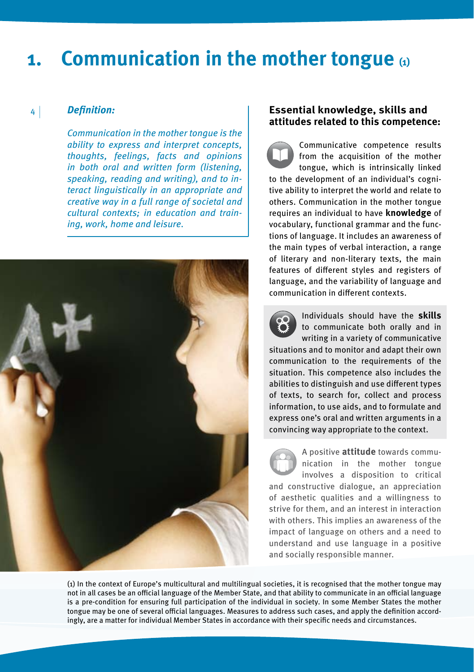## **1. Communication in the mother tongue (1)**

#### 4 | *Definition:*

*Communication in the mother tongue is the ability to express and interpret concepts, thoughts, feelings, facts and opinions in both oral and written form (listening, speaking, reading and writing), and to interact linguistically in an appropriate and creative way in a full range of societal and cultural contexts; in education and training, work, home and leisure.*



#### **Essential knowledge, skills and attitudes related to this competence:**

Communicative competence results from the acquisition of the mother tongue, which is intrinsically linked to the development of an individual's cognitive ability to interpret the world and relate to others. Communication in the mother tongue requires an individual to have **knowledge** of vocabulary, functional grammar and the functions of language. It includes an awareness of the main types of verbal interaction, a range of literary and non-literary texts, the main features of different styles and registers of language, and the variability of language and communication in different contexts.

Individuals should have the **skills** to communicate both orally and in writing in a variety of communicative situations and to monitor and adapt their own communication to the requirements of the situation. This competence also includes the abilities to distinguish and use different types of texts, to search for, collect and process information, to use aids, and to formulate and express one's oral and written arguments in a convincing way appropriate to the context.

A positive **attitude** towards communication in the mother tongue involves a disposition to critical and constructive dialogue, an appreciation of aesthetic qualities and a willingness to strive for them, and an interest in interaction with others. This implies an awareness of the impact of language on others and a need to understand and use language in a positive and socially responsible manner.

(1) In the context of Europe's multicultural and multilingual societies, it is recognised that the mother tongue may not in all cases be an official language of the Member State, and that ability to communicate in an official language is a pre-condition for ensuring full participation of the individual in society. In some Member States the mother tongue may be one of several official languages. Measures to address such cases, and apply the definition accordingly, are a matter for individual Member States in accordance with their specific needs and circumstances.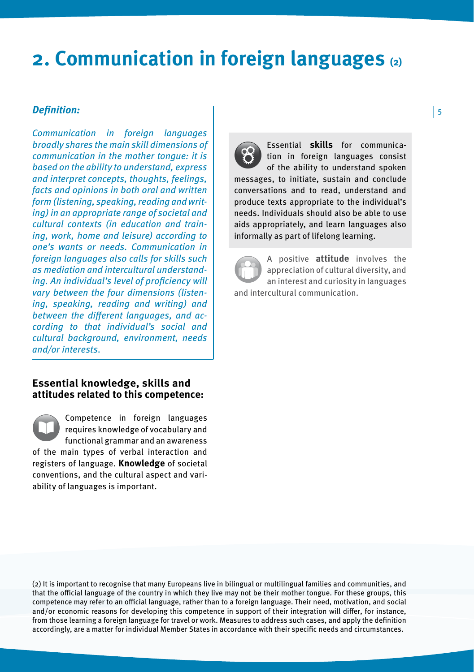## **2. Communication in foreign languages (2)**

#### *Definition:*

*Communication in foreign languages broadly shares the main skill dimensions of communication in the mother tongue: it is based on the ability to understand, express and interpret concepts, thoughts, feelings, facts and opinions in both oral and written form (listening, speaking, reading and writing) in an appropriate range of societal and cultural contexts (in education and training, work, home and leisure) according to one's wants or needs. Communication in foreign languages also calls for skills such as mediation and intercultural understanding. An individual's level of proficiency will vary between the four dimensions (listening, speaking, reading and writing) and between the different languages, and according to that individual's social and cultural background, environment, needs and/or interests.*

#### **Essential knowledge, skills and attitudes related to this competence:**

Competence in foreign languages requires knowledge of vocabulary and functional grammar and an awareness of the main types of verbal interaction and registers of language. **Knowledge** of societal conventions, and the cultural aspect and variability of languages is important.

Essential **skills** for communication in foreign languages consist of the ability to understand spoken messages, to initiate, sustain and conclude conversations and to read, understand and produce texts appropriate to the individual's needs. Individuals should also be able to use aids appropriately, and learn languages also informally as part of lifelong learning.

| 5

A positive **attitude** involves the appreciation of cultural diversity, and an interest and curiosity in languages and intercultural communication.

(2) It is important to recognise that many Europeans live in bilingual or multilingual families and communities, and that the official language of the country in which they live may not be their mother tongue. For these groups, this competence may refer to an official language, rather than to a foreign language. Their need, motivation, and social and/or economic reasons for developing this competence in support of their integration will differ, for instance, from those learning a foreign language for travel or work. Measures to address such cases, and apply the definition accordingly, are a matter for individual Member States in accordance with their specific needs and circumstances.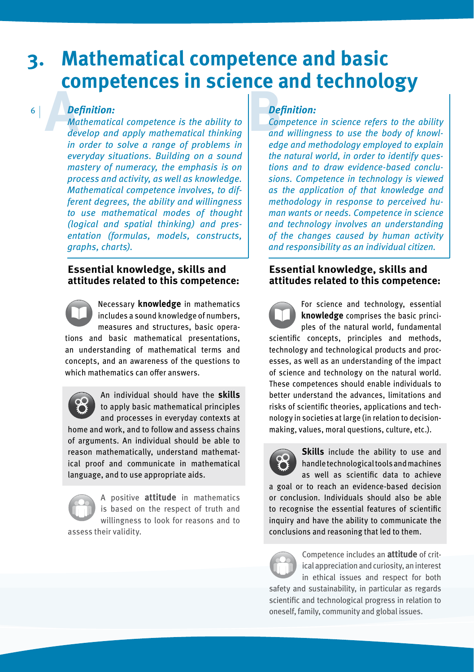## **3. Mathematical competence and basic competences in science and technology**

#### *Definition:*

6 |

**Definition:**<br>
Mathematical competence is the ability to<br>
develop and apply mathematical thinking<br>
in order to solve a range of problems in *Mathematical competence is the ability to in order to solve a range of problems in everyday situations. Building on a sound mastery of numeracy, the emphasis is on process and activity, as well as knowledge. Mathematical competence involves, to different degrees, the ability and willingness to use mathematical modes of thought (logical and spatial thinking) and presentation (formulas, models, constructs, graphs, charts).*

#### **Essential knowledge, skills and attitudes related to this competence:**

Necessary **knowledge** in mathematics includes a sound knowledge of numbers, measures and structures, basic operations and basic mathematical presentations, an understanding of mathematical terms and concepts, and an awareness of the questions to which mathematics can offer answers.

An individual should have the **skills** to apply basic mathematical principles and processes in everyday contexts at home and work, and to follow and assess chains of arguments. An individual should be able to reason mathematically, understand mathematical proof and communicate in mathematical language, and to use appropriate aids.

A positive **attitude** in mathematics is based on the respect of truth and willingness to look for reasons and to assess their validity.

#### *Definition:*

*Competence in science refers to the ability and willingness to use the body of knowledge and methodology employed to explain the natural world, in order to identify questions and to draw evidence-based conclusions. Competence in technology is viewed as the application of that knowledge and methodology in response to perceived human wants or needs. Competence in science and technology involves an understanding of the changes caused by human activity and responsibility as an individual citizen.*

#### **Essential knowledge, skills and attitudes related to this competence:**

For science and technology, essential **knowledge** comprises the basic principles of the natural world, fundamental scientific concepts, principles and methods, technology and technological products and processes, as well as an understanding of the impact of science and technology on the natural world. These competences should enable individuals to better understand the advances, limitations and risks of scientific theories, applications and technology in societies at large (in relation to decisionmaking, values, moral questions, culture, etc.).

**Skills** include the ability to use and handle technological tools and machines as well as scientific data to achieve a goal or to reach an evidence-based decision or conclusion. Individuals should also be able to recognise the essential features of scientific inquiry and have the ability to communicate the conclusions and reasoning that led to them.

Competence includes an **attitude** of critical appreciation and curiosity, an interest in ethical issues and respect for both

safety and sustainability, in particular as regards scientific and technological progress in relation to oneself, family, community and global issues.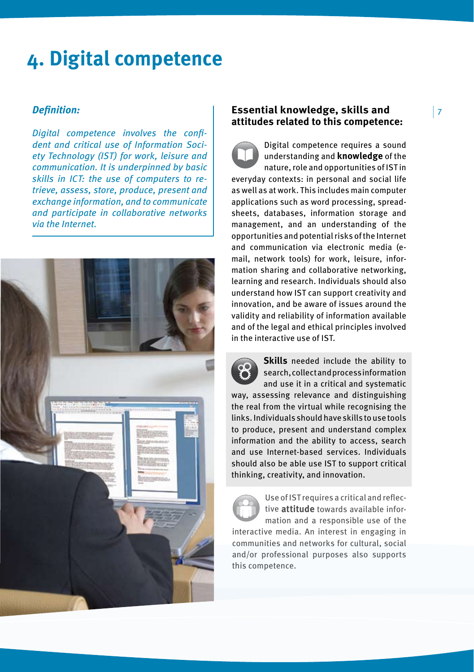## **4. Digital competence**

#### *Definition:*

*Digital competence involves the confident and critical use of Information Society Technology (IST) for work, leisure and communication. It is underpinned by basic skills in ICT: the use of computers to retrieve, assess, store, produce, present and exchange information, and to communicate and participate in collaborative networks via the Internet.*



#### **Essential knowledge, skills and attitudes related to this competence:**

Digital competence requires a sound understanding and **knowledge** of the nature, role and opportunities of IST in everyday contexts: in personal and social life as well as at work. This includes main computer applications such as word processing, spreadsheets, databases, information storage and management, and an understanding of the opportunities and potential risks of the Internet and communication via electronic media (email, network tools) for work, leisure, information sharing and collaborative networking, learning and research. Individuals should also understand how IST can support creativity and innovation, and be aware of issues around the validity and reliability of information available and of the legal and ethical principles involved in the interactive use of IST.

**Skills** needed include the ability to search, collect and process information and use it in a critical and systematic way, assessing relevance and distinguishing the real from the virtual while recognising the links. Individuals should have skills to use tools to produce, present and understand complex information and the ability to access, search and use Internet-based services. Individuals should also be able use IST to support critical thinking, creativity, and innovation.

Use of IST requires a critical and reflective **attitude** towards available information and a responsible use of the interactive media. An interest in engaging in communities and networks for cultural, social and/or professional purposes also supports this competence.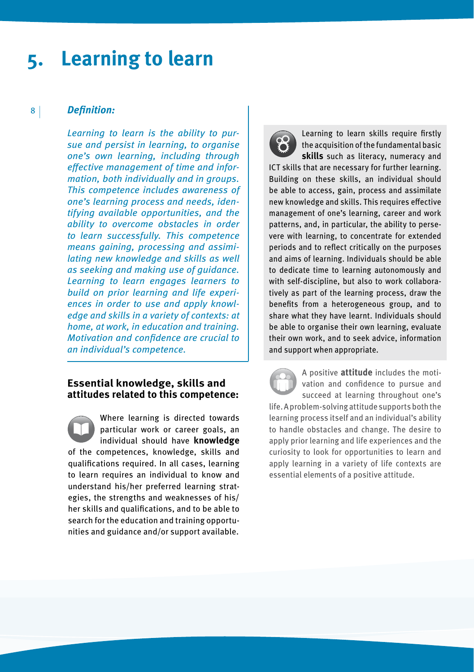## **5. Learning to learn**

#### 8 | *Definition:*

*Learning to learn is the ability to pursue and persist in learning, to organise one's own learning, including through effective management of time and information, both individually and in groups. This competence includes awareness of one's learning process and needs, identifying available opportunities, and the ability to overcome obstacles in order to learn successfully. This competence means gaining, processing and assimilating new knowledge and skills as well as seeking and making use of guidance. Learning to learn engages learners to build on prior learning and life experiences in order to use and apply knowledge and skills in a variety of contexts: at home, at work, in education and training. Motivation and confidence are crucial to an individual's competence.*

#### **Essential knowledge, skills and attitudes related to this competence:**

Where learning is directed towards particular work or career goals, an individual should have **knowledge**  of the competences, knowledge, skills and qualifications required. In all cases, learning to learn requires an individual to know and understand his/her preferred learning strategies, the strengths and weaknesses of his/ her skills and qualifications, and to be able to search for the education and training opportunities and guidance and/or support available.

Learning to learn skills require firstly the acquisition of the fundamental basic **skills** such as literacy, numeracy and ICT skills that are necessary for further learning. Building on these skills, an individual should be able to access, gain, process and assimilate new knowledge and skills. This requires effective management of one's learning, career and work patterns, and, in particular, the ability to persevere with learning, to concentrate for extended periods and to reflect critically on the purposes and aims of learning. Individuals should be able to dedicate time to learning autonomously and with self-discipline, but also to work collaboratively as part of the learning process, draw the benefits from a heterogeneous group, and to share what they have learnt. Individuals should be able to organise their own learning, evaluate their own work, and to seek advice, information and support when appropriate.

A positive **attitude** includes the motivation and confidence to pursue and succeed at learning throughout one's life. A problem-solving attitude supports both the learning process itself and an individual's ability to handle obstacles and change. The desire to apply prior learning and life experiences and the curiosity to look for opportunities to learn and apply learning in a variety of life contexts are essential elements of a positive attitude.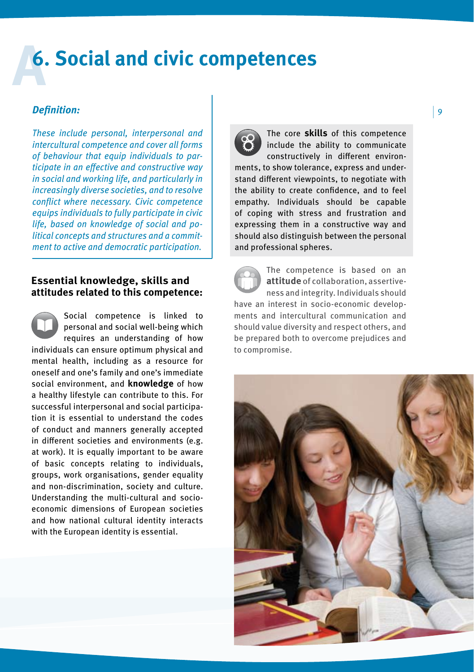## **A6. Social and civic competences**

#### *Definition:*

*These include personal, interpersonal and intercultural competence and cover all forms of behaviour that equip individuals to participate in an effective and constructive way in social and working life, and particularly in increasingly diverse societies, and to resolve conflict where necessary. Civic competence equips individuals to fully participate in civic life, based on knowledge of social and political concepts and structures and a commitment to active and democratic participation.*

#### **Essential knowledge, skills and attitudes related to this competence:**

Social competence is linked to personal and social well-being which requires an understanding of how individuals can ensure optimum physical and mental health, including as a resource for oneself and one's family and one's immediate social environment, and **knowledge** of how a healthy lifestyle can contribute to this. For successful interpersonal and social participation it is essential to understand the codes of conduct and manners generally accepted in different societies and environments (e.g. at work). It is equally important to be aware of basic concepts relating to individuals, groups, work organisations, gender equality and non-discrimination, society and culture. Understanding the multi-cultural and socioeconomic dimensions of European societies and how national cultural identity interacts with the European identity is essential.

The core **skills** of this competence include the ability to communicate constructively in different environments, to show tolerance, express and understand different viewpoints, to negotiate with the ability to create confidence, and to feel empathy. Individuals should be capable of coping with stress and frustration and expressing them in a constructive way and should also distinguish between the personal and professional spheres.

The competence is based on an **attitude** of collaboration, assertiveness and integrity. Individuals should have an interest in socio-economic developments and intercultural communication and should value diversity and respect others, and be prepared both to overcome prejudices and to compromise.

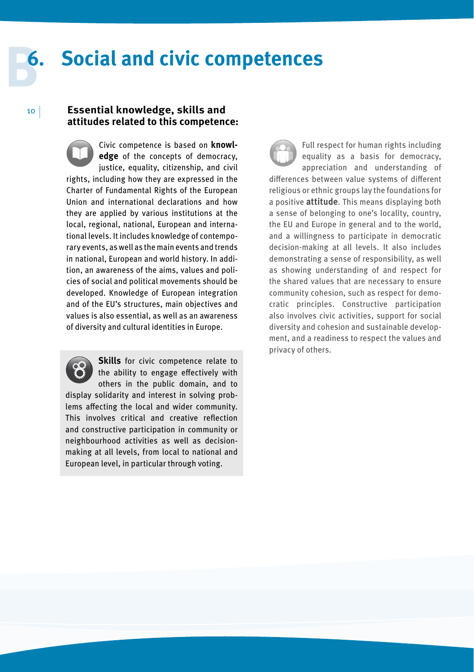# **B 6. Social and civic competences**

#### 10 | **Essential knowledge, skills and attitudes related to this competence:**

Civic competence is based on **knowledge** of the concepts of democracy, justice, equality, citizenship, and civil rights, including how they are expressed in the Charter of Fundamental Rights of the European Union and international declarations and how they are applied by various institutions at the local, regional, national, European and international levels. It includes knowledge of contemporary events, as well as the main events and trends in national, European and world history. In addition, an awareness of the aims, values and policies of social and political movements should be developed. Knowledge of European integration and of the EU's structures, main objectives and values is also essential, as well as an awareness of diversity and cultural identities in Europe.

**Skills** for civic competence relate to the ability to engage effectively with others in the public domain, and to display solidarity and interest in solving problems affecting the local and wider community. This involves critical and creative reflection and constructive participation in community or neighbourhood activities as well as decisionmaking at all levels, from local to national and European level, in particular through voting.

Full respect for human rights including equality as a basis for democracy, appreciation and understanding of differences between value systems of different religious or ethnic groups lay the foundations for a positive **attitude**. This means displaying both a sense of belonging to one's locality, country, the EU and Europe in general and to the world, and a willingness to participate in democratic decision-making at all levels. It also includes demonstrating a sense of responsibility, as well as showing understanding of and respect for the shared values that are necessary to ensure community cohesion, such as respect for democratic principles. Constructive participation also involves civic activities, support for social diversity and cohesion and sustainable development, and a readiness to respect the values and privacy of others.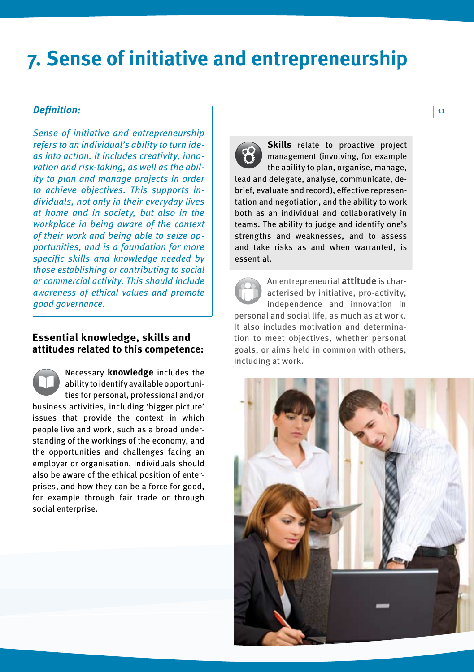## **7. Sense of initiative and entrepreneurship**

#### *Definition:*

*Sense of initiative and entrepreneurship refers to an individual's ability to turn ideas into action. It includes creativity, innovation and risk-taking, as well as the ability to plan and manage projects in order to achieve objectives. This supports individuals, not only in their everyday lives at home and in society, but also in the workplace in being aware of the context of their work and being able to seize opportunities, and is a foundation for more specific skills and knowledge needed by those establishing or contributing to social or commercial activity. This should include awareness of ethical values and promote good governance.*

#### **Essential knowledge, skills and attitudes related to this competence:**

Necessary **knowledge** includes the ability to identify available opportunities for personal, professional and/or business activities, including 'bigger picture' issues that provide the context in which people live and work, such as a broad understanding of the workings of the economy, and the opportunities and challenges facing an employer or organisation. Individuals should also be aware of the ethical position of enterprises, and how they can be a force for good, for example through fair trade or through social enterprise.

**Skills** relate to proactive project management (involving, for example the ability to plan, organise, manage, lead and delegate, analyse, communicate, debrief, evaluate and record), effective representation and negotiation, and the ability to work both as an individual and collaboratively in teams. The ability to judge and identify one's strengths and weaknesses, and to assess and take risks as and when warranted, is essential.

An entrepreneurial **attitude** is characterised by initiative, pro-activity, independence and innovation in personal and social life, as much as at work. It also includes motivation and determination to meet objectives, whether personal goals, or aims held in common with others, including at work.

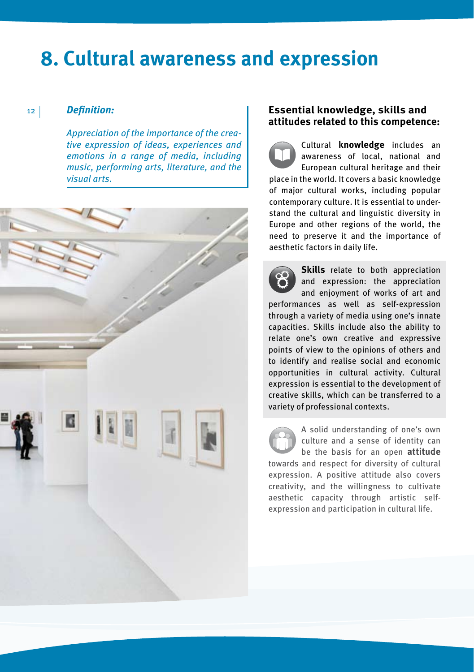## **8. Cultural awareness and expression**

#### 12 | *Definition:*

*Appreciation of the importance of the creative expression of ideas, experiences and emotions in a range of media, including music, performing arts, literature, and the visual arts.*



#### **Essential knowledge, skills and attitudes related to this competence:**

Cultural **knowledge** includes an awareness of local, national and European cultural heritage and their place in the world. It covers a basic knowledge of major cultural works, including popular contemporary culture. It is essential to understand the cultural and linguistic diversity in Europe and other regions of the world, the need to preserve it and the importance of aesthetic factors in daily life.

**Skills** relate to both appreciation and expression: the appreciation and enjoyment of works of art and performances as well as self-expression through a variety of media using one's innate capacities. Skills include also the ability to relate one's own creative and expressive points of view to the opinions of others and to identify and realise social and economic opportunities in cultural activity. Cultural expression is essential to the development of creative skills, which can be transferred to a variety of professional contexts.

A solid understanding of one's own culture and a sense of identity can be the basis for an open **attitude** towards and respect for diversity of cultural expression. A positive attitude also covers creativity, and the willingness to cultivate aesthetic capacity through artistic selfexpression and participation in cultural life.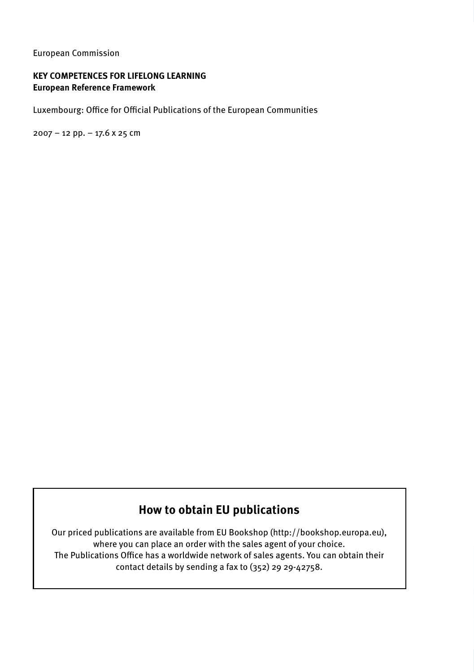#### European Commission

#### **KEY COMPETENCES FOR LIFELONG LEARNING European Reference Framework**

Luxembourg: Office for Official Publications of the European Communities

2007 – 12 pp. – 17.6 x 25 cm

## **How to obtain EU publications**

Our priced publications are available from EU Bookshop (http://bookshop.europa.eu), where you can place an order with the sales agent of your choice. The Publications Office has a worldwide network of sales agents. You can obtain their contact details by sending a fax to (352) 29 29-42758.